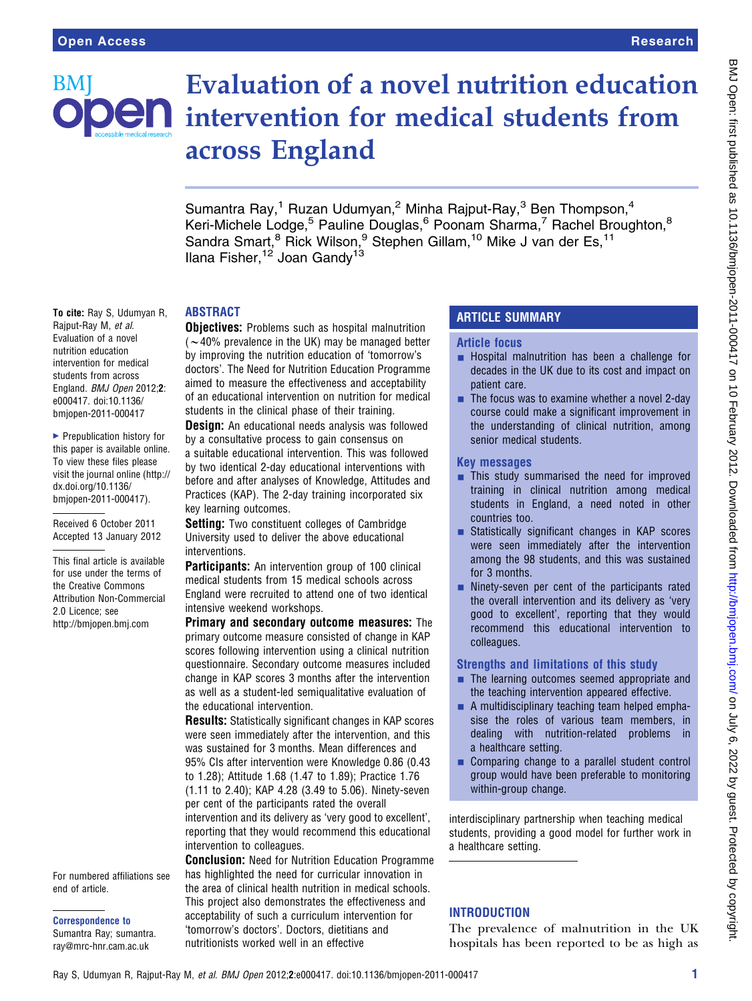

# Evaluation of a novel nutrition education  $en$  intervention for medical students from across England

Sumantra Ray,<sup>1</sup> Ruzan Udumyan,<sup>2</sup> Minha Rajput-Ray,<sup>3</sup> Ben Thompson,<sup>4</sup> Keri-Michele Lodge,<sup>5</sup> Pauline Douglas,<sup>6</sup> Poonam Sharma,<sup>7</sup> Rachel Broughton,<sup>8</sup> Sandra Smart,<sup>8</sup> Rick Wilson,<sup>9</sup> Stephen Gillam,<sup>10</sup> Mike J van der Es,<sup>11</sup> Ilana Fisher,<sup>12</sup> Joan Gandy<sup>13</sup>

#### To cite: Ray S, Udumyan R, Rajput-Ray M, et al. Evaluation of a novel nutrition education intervention for medical students from across England. BMJ Open 2012;2: e000417. doi:10.1136/ bmjopen-2011-000417

**Prepublication history for** this paper is available online. To view these files please visit the journal online (http:// dx.doi.org/10.1136/ bmjopen-2011-000417).

Received 6 October 2011 Accepted 13 January 2012

This final article is available for use under the terms of the Creative Commons Attribution Non-Commercial 2.0 Licence; see http://bmjopen.bmj.com

# For numbered affiliations see end of article.

Correspondence to

Sumantra Ray; sumantra. ray@mrc-hnr.cam.ac.uk

# ABSTRACT

**Objectives:** Problems such as hospital malnutrition  $(-40%$  prevalence in the UK) may be managed better by improving the nutrition education of 'tomorrow's doctors'. The Need for Nutrition Education Programme aimed to measure the effectiveness and acceptability of an educational intervention on nutrition for medical students in the clinical phase of their training.

**Design:** An educational needs analysis was followed by a consultative process to gain consensus on a suitable educational intervention. This was followed by two identical 2-day educational interventions with before and after analyses of Knowledge, Attitudes and Practices (KAP). The 2-day training incorporated six key learning outcomes.

**Setting:** Two constituent colleges of Cambridge University used to deliver the above educational interventions.

Participants: An intervention group of 100 clinical medical students from 15 medical schools across England were recruited to attend one of two identical intensive weekend workshops.

Primary and secondary outcome measures: The primary outcome measure consisted of change in KAP scores following intervention using a clinical nutrition questionnaire. Secondary outcome measures included change in KAP scores 3 months after the intervention as well as a student-led semiqualitative evaluation of the educational intervention.

Results: Statistically significant changes in KAP scores were seen immediately after the intervention, and this was sustained for 3 months. Mean differences and 95% CIs after intervention were Knowledge 0.86 (0.43 to 1.28); Attitude 1.68 (1.47 to 1.89); Practice 1.76 (1.11 to 2.40); KAP 4.28 (3.49 to 5.06). Ninety-seven per cent of the participants rated the overall intervention and its delivery as 'very good to excellent', reporting that they would recommend this educational intervention to colleagues.

**Conclusion:** Need for Nutrition Education Programme has highlighted the need for curricular innovation in the area of clinical health nutrition in medical schools. This project also demonstrates the effectiveness and acceptability of such a curriculum intervention for 'tomorrow's doctors'. Doctors, dietitians and nutritionists worked well in an effective

# ARTICLE SUMMARY

# Article focus

- $\blacksquare$  Hospital malnutrition has been a challenge for decades in the UK due to its cost and impact on patient care.
- $\blacksquare$  The focus was to examine whether a novel 2-day course could make a significant improvement in the understanding of clinical nutrition, among senior medical students.

# Key messages

- **This study summarised the need for improved** training in clinical nutrition among medical students in England, a need noted in other countries too.
- Statistically significant changes in KAP scores were seen immediately after the intervention among the 98 students, and this was sustained for 3 months.
- $\blacksquare$  Ninety-seven per cent of the participants rated the overall intervention and its delivery as 'very good to excellent', reporting that they would recommend this educational intervention to colleagues.

# Strengths and limitations of this study

- $\blacksquare$  The learning outcomes seemed appropriate and the teaching intervention appeared effective.
- A multidisciplinary teaching team helped emphasise the roles of various team members, in dealing with nutrition-related problems in a healthcare setting.
- $\blacksquare$  Comparing change to a parallel student control group would have been preferable to monitoring within-group change.

interdisciplinary partnership when teaching medical students, providing a good model for further work in a healthcare setting.

# **INTRODUCTION**

The prevalence of malnutrition in the UK hospitals has been reported to be as high as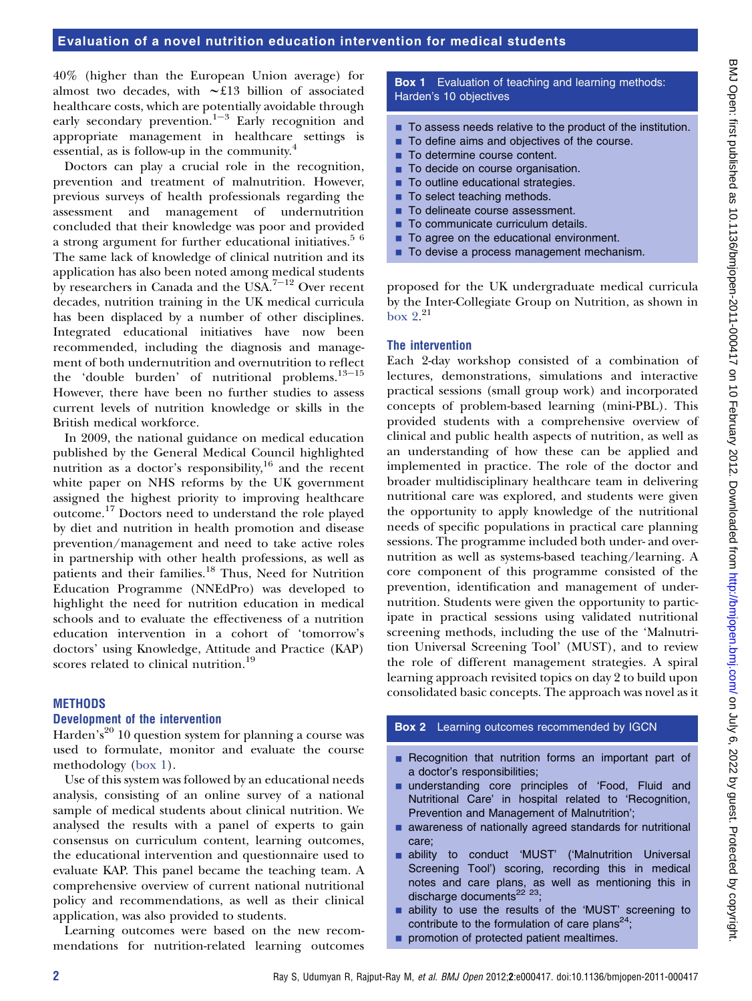40% (higher than the European Union average) for almost two decades, with  $\sim$ £13 billion of associated healthcare costs, which are potentially avoidable through early secondary prevention.<sup>1-3</sup> Early recognition and appropriate management in healthcare settings is essential, as is follow-up in the community.<sup>4</sup>

Doctors can play a crucial role in the recognition, prevention and treatment of malnutrition. However, previous surveys of health professionals regarding the assessment and management of undernutrition concluded that their knowledge was poor and provided a strong argument for further educational initiatives.<sup>5 6</sup> The same lack of knowledge of clinical nutrition and its application has also been noted among medical students by researchers in Canada and the USA.<sup>7-12</sup> Over recent decades, nutrition training in the UK medical curricula has been displaced by a number of other disciplines. Integrated educational initiatives have now been recommended, including the diagnosis and management of both undernutrition and overnutrition to reflect the 'double burden' of nutritional problems. $13-15$ However, there have been no further studies to assess current levels of nutrition knowledge or skills in the British medical workforce.

In 2009, the national guidance on medical education published by the General Medical Council highlighted nutrition as a doctor's responsibility, $16$  and the recent white paper on NHS reforms by the UK government assigned the highest priority to improving healthcare outcome.<sup>17</sup> Doctors need to understand the role played by diet and nutrition in health promotion and disease prevention/management and need to take active roles in partnership with other health professions, as well as patients and their families.<sup>18</sup> Thus, Need for Nutrition Education Programme (NNEdPro) was developed to highlight the need for nutrition education in medical schools and to evaluate the effectiveness of a nutrition education intervention in a cohort of 'tomorrow's doctors' using Knowledge, Attitude and Practice (KAP) scores related to clinical nutrition.<sup>19</sup>

# **METHODS**

# Development of the intervention

Harden's<sup>20</sup> 10 question system for planning a course was used to formulate, monitor and evaluate the course methodology (box 1).

Use of this system was followed by an educational needs analysis, consisting of an online survey of a national sample of medical students about clinical nutrition. We analysed the results with a panel of experts to gain consensus on curriculum content, learning outcomes, the educational intervention and questionnaire used to evaluate KAP. This panel became the teaching team. A comprehensive overview of current national nutritional policy and recommendations, as well as their clinical application, was also provided to students.

Learning outcomes were based on the new recommendations for nutrition-related learning outcomes

# Box 1 Evaluation of teaching and learning methods: Harden's 10 objectives

- $\blacksquare$  To assess needs relative to the product of the institution.
- $\blacksquare$  To define aims and objectives of the course.
- $\blacksquare$  To determine course content.
- $\blacksquare$  To decide on course organisation.
- $\blacksquare$  To outline educational strategies.
- To select teaching methods.
- To delineate course assessment.
- To communicate curriculum details.
- To agree on the educational environment.
- To devise a process management mechanism.

proposed for the UK undergraduate medical curricula by the Inter-Collegiate Group on Nutrition, as shown in box 2. 21

# The intervention

Each 2-day workshop consisted of a combination of lectures, demonstrations, simulations and interactive practical sessions (small group work) and incorporated concepts of problem-based learning (mini-PBL). This provided students with a comprehensive overview of clinical and public health aspects of nutrition, as well as an understanding of how these can be applied and implemented in practice. The role of the doctor and broader multidisciplinary healthcare team in delivering nutritional care was explored, and students were given the opportunity to apply knowledge of the nutritional needs of specific populations in practical care planning sessions. The programme included both under- and overnutrition as well as systems-based teaching/learning. A core component of this programme consisted of the prevention, identification and management of undernutrition. Students were given the opportunity to participate in practical sessions using validated nutritional screening methods, including the use of the 'Malnutrition Universal Screening Tool' (MUST), and to review the role of different management strategies. A spiral learning approach revisited topics on day 2 to build upon consolidated basic concepts. The approach was novel as it

#### **Box 2** Learning outcomes recommended by IGCN

- **-** Recognition that nutrition forms an important part of a doctor's responsibilities;
- understanding core principles of 'Food, Fluid and Nutritional Care' in hospital related to 'Recognition, Prevention and Management of Malnutrition';
- awareness of nationally agreed standards for nutritional care;
- ability to conduct 'MUST' ('Malnutrition Universal Screening Tool') scoring, recording this in medical notes and care plans, as well as mentioning this in discharge documents $^{22}$   $^{23}$ ;
- ability to use the results of the 'MUST' screening to contribute to the formulation of care plans<sup>24</sup>;
- promotion of protected patient mealtimes.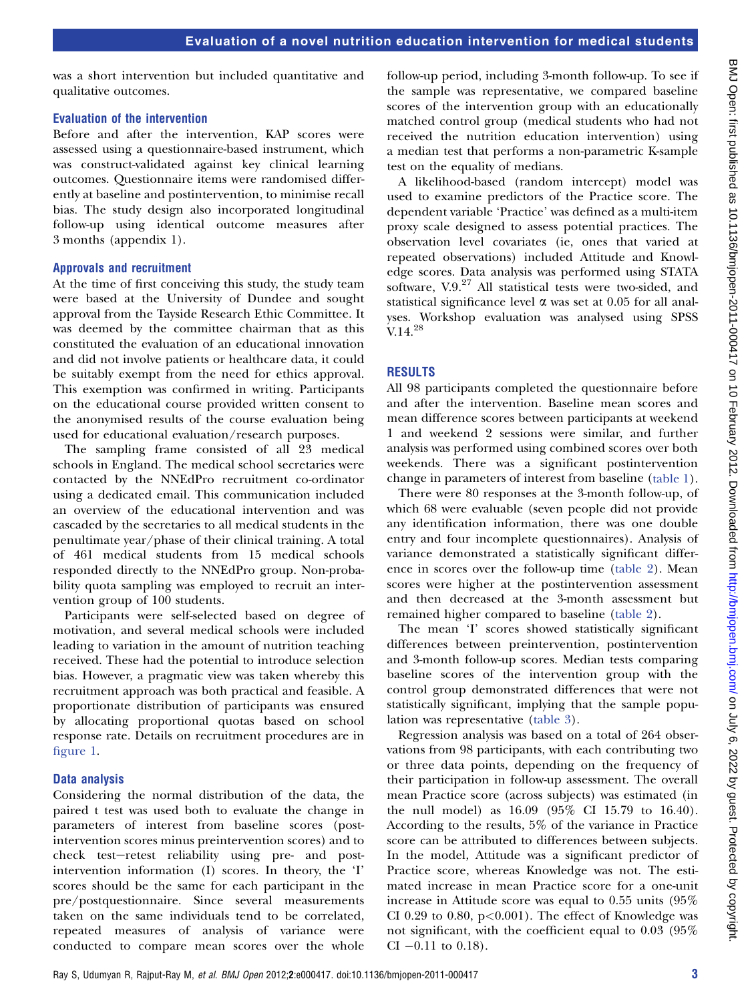was a short intervention but included quantitative and qualitative outcomes.

## Evaluation of the intervention

Before and after the intervention, KAP scores were assessed using a questionnaire-based instrument, which was construct-validated against key clinical learning outcomes. Questionnaire items were randomised differently at baseline and postintervention, to minimise recall bias. The study design also incorporated longitudinal follow-up using identical outcome measures after 3 months (appendix 1).

# Approvals and recruitment

At the time of first conceiving this study, the study team were based at the University of Dundee and sought approval from the Tayside Research Ethic Committee. It was deemed by the committee chairman that as this constituted the evaluation of an educational innovation and did not involve patients or healthcare data, it could be suitably exempt from the need for ethics approval. This exemption was confirmed in writing. Participants on the educational course provided written consent to the anonymised results of the course evaluation being used for educational evaluation/research purposes.

The sampling frame consisted of all 23 medical schools in England. The medical school secretaries were contacted by the NNEdPro recruitment co-ordinator using a dedicated email. This communication included an overview of the educational intervention and was cascaded by the secretaries to all medical students in the penultimate year/phase of their clinical training. A total of 461 medical students from 15 medical schools responded directly to the NNEdPro group. Non-probability quota sampling was employed to recruit an intervention group of 100 students.

Participants were self-selected based on degree of motivation, and several medical schools were included leading to variation in the amount of nutrition teaching received. These had the potential to introduce selection bias. However, a pragmatic view was taken whereby this recruitment approach was both practical and feasible. A proportionate distribution of participants was ensured by allocating proportional quotas based on school response rate. Details on recruitment procedures are in figure 1.

# Data analysis

Considering the normal distribution of the data, the paired t test was used both to evaluate the change in parameters of interest from baseline scores (postintervention scores minus preintervention scores) and to check test-retest reliability using pre- and postintervention information (I) scores. In theory, the 'I' scores should be the same for each participant in the pre/postquestionnaire. Since several measurements taken on the same individuals tend to be correlated, repeated measures of analysis of variance were conducted to compare mean scores over the whole

follow-up period, including 3-month follow-up. To see if the sample was representative, we compared baseline scores of the intervention group with an educationally matched control group (medical students who had not received the nutrition education intervention) using a median test that performs a non-parametric K-sample test on the equality of medians.

A likelihood-based (random intercept) model was used to examine predictors of the Practice score. The dependent variable 'Practice' was defined as a multi-item proxy scale designed to assess potential practices. The observation level covariates (ie, ones that varied at repeated observations) included Attitude and Knowledge scores. Data analysis was performed using STATA software, V.9.<sup>27</sup> All statistical tests were two-sided, and statistical significance level  $\alpha$  was set at 0.05 for all analyses. Workshop evaluation was analysed using SPSS V.14.28

#### RESULTS

All 98 participants completed the questionnaire before and after the intervention. Baseline mean scores and mean difference scores between participants at weekend 1 and weekend 2 sessions were similar, and further analysis was performed using combined scores over both weekends. There was a significant postintervention change in parameters of interest from baseline (table 1).

There were 80 responses at the 3-month follow-up, of which 68 were evaluable (seven people did not provide any identification information, there was one double entry and four incomplete questionnaires). Analysis of variance demonstrated a statistically significant difference in scores over the follow-up time (table 2). Mean scores were higher at the postintervention assessment and then decreased at the 3-month assessment but remained higher compared to baseline (table 2).

The mean 'I' scores showed statistically significant differences between preintervention, postintervention and 3-month follow-up scores. Median tests comparing baseline scores of the intervention group with the control group demonstrated differences that were not statistically significant, implying that the sample population was representative (table 3).

Regression analysis was based on a total of 264 observations from 98 participants, with each contributing two or three data points, depending on the frequency of their participation in follow-up assessment. The overall mean Practice score (across subjects) was estimated (in the null model) as 16.09 (95% CI 15.79 to 16.40). According to the results, 5% of the variance in Practice score can be attributed to differences between subjects. In the model, Attitude was a significant predictor of Practice score, whereas Knowledge was not. The estimated increase in mean Practice score for a one-unit increase in Attitude score was equal to 0.55 units (95% CI 0.29 to 0.80,  $p<0.001$ ). The effect of Knowledge was not significant, with the coefficient equal to 0.03 (95%  $CI -0.11$  to 0.18).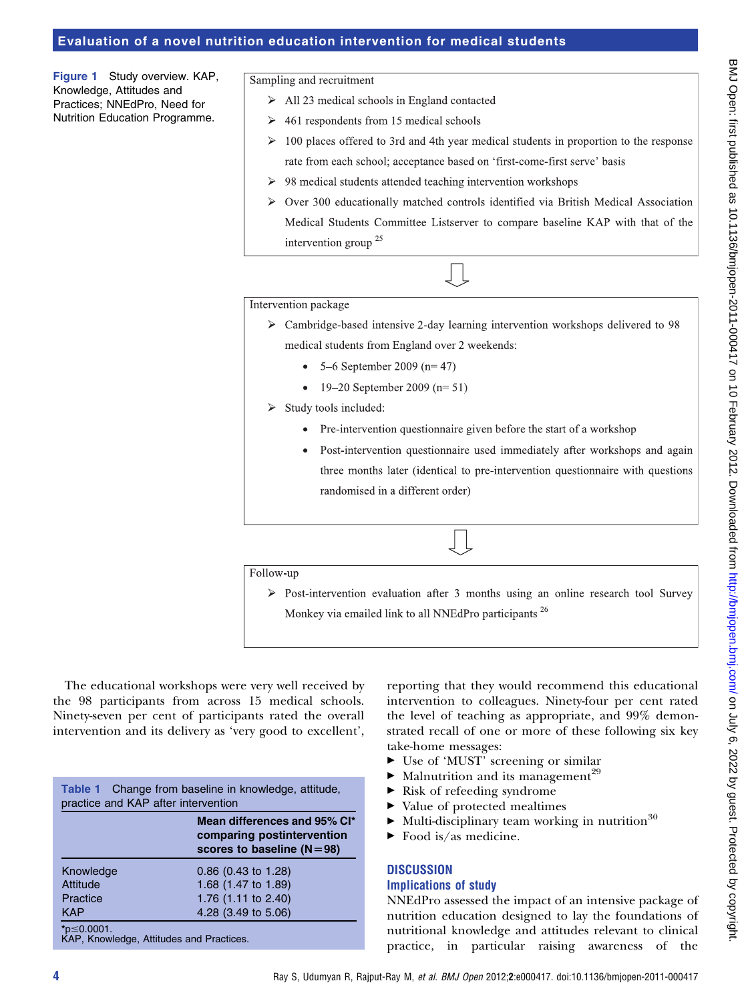Figure 1 Study overview. KAP, Knowledge, Attitudes and Practices; NNEdPro, Need for Nutrition Education Programme.

Sampling and recruitment

- $\triangleright$  All 23 medical schools in England contacted
- 461 respondents from 15 medical schools  $\blacktriangleright$
- $\geq 100$  places offered to 3rd and 4th year medical students in proportion to the response rate from each school; acceptance based on 'first-come-first serve' basis
- $\triangleright$  98 medical students attended teaching intervention workshops
- > Over 300 educationally matched controls identified via British Medical Association Medical Students Committee Listserver to compare baseline KAP with that of the intervention group  $^{25}$

Intervention package

- > Cambridge-based intensive 2-day learning intervention workshops delivered to 98 medical students from England over 2 weekends:
	- $5-6$  September 2009 (n= 47)
	- 19–20 September 2009 (n= 51)
- $\triangleright$  Study tools included:
	- Pre-intervention questionnaire given before the start of a workshop
	- Post-intervention questionnaire used immediately after workshops and again three months later (identical to pre-intervention questionnaire with questions randomised in a different order)

Follow-up

 $\triangleright$  Post-intervention evaluation after 3 months using an online research tool Survey Monkey via emailed link to all NNEdPro participants <sup>26</sup>

The educational workshops were very well received by the 98 participants from across 15 medical schools. Ninety-seven per cent of participants rated the overall intervention and its delivery as 'very good to excellent',

| <b>Table 1</b> Change from baseline in knowledge, attitude,<br>practice and KAP after intervention |                                                                                               |  |  |  |
|----------------------------------------------------------------------------------------------------|-----------------------------------------------------------------------------------------------|--|--|--|
|                                                                                                    | Mean differences and 95% CI*<br>comparing postintervention<br>scores to baseline ( $N = 98$ ) |  |  |  |
| Knowledge                                                                                          | $0.86$ (0.43 to 1.28)                                                                         |  |  |  |
| Attitude                                                                                           | 1.68 (1.47 to 1.89)                                                                           |  |  |  |
| Practice                                                                                           | 1.76 (1.11 to 2.40)                                                                           |  |  |  |
| KAP                                                                                                | 4.28 (3.49 to 5.06)                                                                           |  |  |  |
| * $p$ ≤0.0001.<br>KAP, Knowledge, Attitudes and Practices.                                         |                                                                                               |  |  |  |

reporting that they would recommend this educational intervention to colleagues. Ninety-four per cent rated the level of teaching as appropriate, and 99% demonstrated recall of one or more of these following six key take-home messages:

- < Use of 'MUST' screening or similar
- $\blacktriangleright$  Malnutrition and its management<sup>29</sup>
- < Risk of refeeding syndrome
- < Value of protected mealtimes
- Multi-disciplinary team working in nutrition $30$
- Food is/as medicine.

# **DISCUSSION** Implications of study

NNEdPro assessed the impact of an intensive package of nutrition education designed to lay the foundations of nutritional knowledge and attitudes relevant to clinical practice, in particular raising awareness of the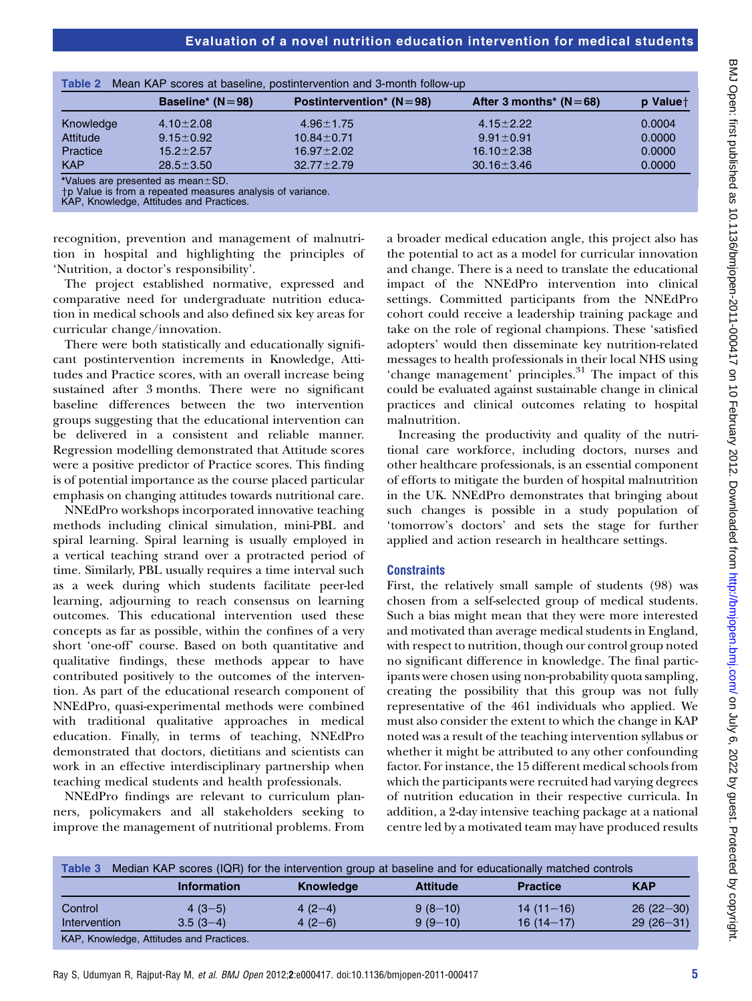| Mean KAP scores at baseline, postintervention and 3-month follow-up<br>Table 2 |                      |                                |                          |          |  |
|--------------------------------------------------------------------------------|----------------------|--------------------------------|--------------------------|----------|--|
|                                                                                | Baseline* ( $N=98$ ) | Postintervention* ( $N = 98$ ) | After 3 months* $(N=68)$ | p Valuet |  |
| Knowledge                                                                      | $4.10 \pm 2.08$      | $4.96 \pm 1.75$                | $4.15 \pm 2.22$          | 0.0004   |  |
| <b>Attitude</b>                                                                | $9.15 \pm 0.92$      | $10.84 \pm 0.71$               | $9.91 \pm 0.91$          | 0.0000   |  |
| Practice                                                                       | $15.2 + 2.57$        | $16.97 \pm 2.02$               | $16.10 \pm 2.38$         | 0.0000   |  |
| <b>KAP</b>                                                                     | $28.5 \pm 3.50$      | $32.77 \pm 2.79$               | $30.16 \pm 3.46$         | 0.0000   |  |
| *Values are presented as mean ± SD.                                            |                      |                                |                          |          |  |

yp Value is from a repeated measures analysis of variance.

KAP, Knowledge, Attitudes and Practices.

recognition, prevention and management of malnutrition in hospital and highlighting the principles of 'Nutrition, a doctor's responsibility'.

The project established normative, expressed and comparative need for undergraduate nutrition education in medical schools and also defined six key areas for curricular change/innovation.

There were both statistically and educationally significant postintervention increments in Knowledge, Attitudes and Practice scores, with an overall increase being sustained after 3 months. There were no significant baseline differences between the two intervention groups suggesting that the educational intervention can be delivered in a consistent and reliable manner. Regression modelling demonstrated that Attitude scores were a positive predictor of Practice scores. This finding is of potential importance as the course placed particular emphasis on changing attitudes towards nutritional care.

NNEdPro workshops incorporated innovative teaching methods including clinical simulation, mini-PBL and spiral learning. Spiral learning is usually employed in a vertical teaching strand over a protracted period of time. Similarly, PBL usually requires a time interval such as a week during which students facilitate peer-led learning, adjourning to reach consensus on learning outcomes. This educational intervention used these concepts as far as possible, within the confines of a very short 'one-off' course. Based on both quantitative and qualitative findings, these methods appear to have contributed positively to the outcomes of the intervention. As part of the educational research component of NNEdPro, quasi-experimental methods were combined with traditional qualitative approaches in medical education. Finally, in terms of teaching, NNEdPro demonstrated that doctors, dietitians and scientists can work in an effective interdisciplinary partnership when teaching medical students and health professionals.

NNEdPro findings are relevant to curriculum planners, policymakers and all stakeholders seeking to improve the management of nutritional problems. From

a broader medical education angle, this project also has the potential to act as a model for curricular innovation and change. There is a need to translate the educational impact of the NNEdPro intervention into clinical settings. Committed participants from the NNEdPro cohort could receive a leadership training package and take on the role of regional champions. These 'satisfied adopters' would then disseminate key nutrition-related messages to health professionals in their local NHS using 'change management' principles.<sup>31</sup> The impact of this could be evaluated against sustainable change in clinical practices and clinical outcomes relating to hospital malnutrition.

Increasing the productivity and quality of the nutritional care workforce, including doctors, nurses and other healthcare professionals, is an essential component of efforts to mitigate the burden of hospital malnutrition in the UK. NNEdPro demonstrates that bringing about such changes is possible in a study population of 'tomorrow's doctors' and sets the stage for further applied and action research in healthcare settings.

# **Constraints**

First, the relatively small sample of students (98) was chosen from a self-selected group of medical students. Such a bias might mean that they were more interested and motivated than average medical students in England, with respect to nutrition, though our control group noted no significant difference in knowledge. The final participants were chosen using non-probability quota sampling, creating the possibility that this group was not fully representative of the 461 individuals who applied. We must also consider the extent to which the change in KAP noted was a result of the teaching intervention syllabus or whether it might be attributed to any other confounding factor. For instance, the 15 different medical schools from which the participants were recruited had varying degrees of nutrition education in their respective curricula. In addition, a 2-day intensive teaching package at a national centre led by a motivated team may have produced results

| Table 3                                  | Median KAP scores (IQR) for the intervention group at baseline and for educationally matched controls |           |                 |                 |               |  |  |
|------------------------------------------|-------------------------------------------------------------------------------------------------------|-----------|-----------------|-----------------|---------------|--|--|
|                                          | <b>Information</b>                                                                                    | Knowledge | <b>Attitude</b> | <b>Practice</b> | <b>KAP</b>    |  |  |
| Control                                  | $4(3-5)$                                                                                              | $4(2-4)$  | $9(8-10)$       | $14(11-16)$     | $26(22-30)$   |  |  |
| Intervention                             | $3.5(3-4)$                                                                                            | $4(2-6)$  | $9(9-10)$       | $16(14-17)$     | $29(26 - 31)$ |  |  |
| KAP, Knowledge, Attitudes and Practices. |                                                                                                       |           |                 |                 |               |  |  |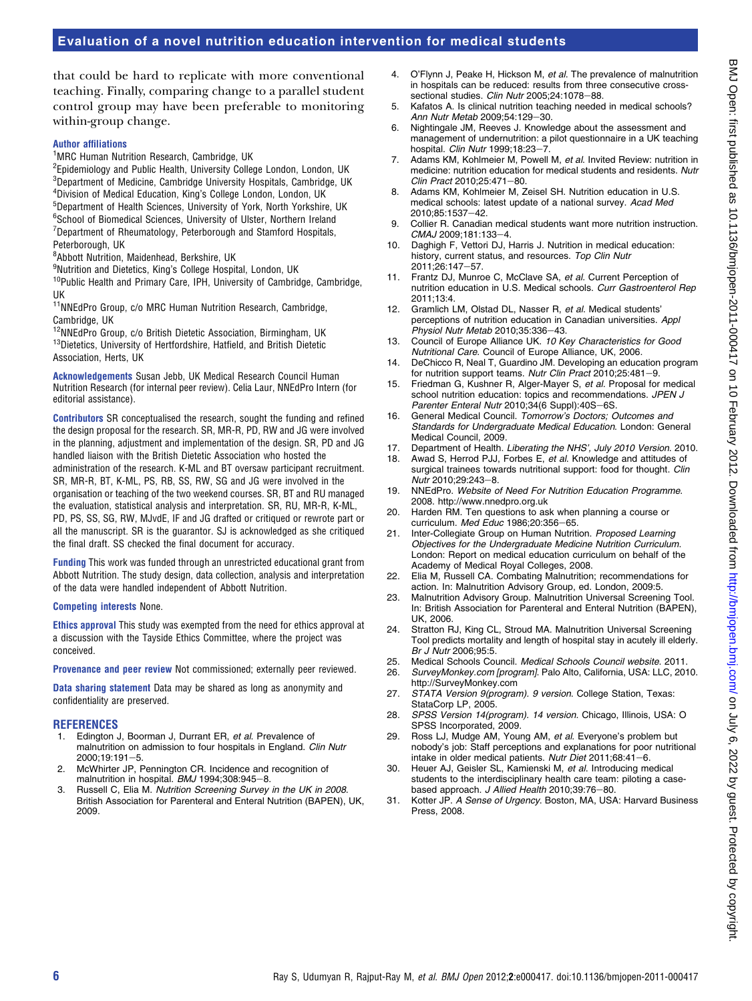BMJ Open: first published as 10.1136/bmjopen-2011-000417 on 10 February 2012. Downloaded from http://bmjopen.bmj.com/ on July 6, 2022 by guest. Protected by copyright BMJ Open: first published as 10.1136/bmjopen-2011-000417 on 10 February 2012. Downloaded from <http://bmjopen.bmj.com/> on July 6, 2022 by guest. Protected by copyright.

that could be hard to replicate with more conventional teaching. Finally, comparing change to a parallel student control group may have been preferable to monitoring within-group change.

## Author affiliations

<sup>1</sup>MRC Human Nutrition Research, Cambridge, UK

 $^2$ Epidemiology and Public Health, University College London, London, UK  $^3$ Department of Medicine, Cambridge University Hospitals, Cambridge, UK 4 Division of Medical Education, King's College London, London, UK <sup>5</sup>Department of Health Sciences, University of York, North Yorkshire, UK <sup>6</sup>School of Biomedical Sciences, University of Ulster, Northern Ireland  $^7$ Department of Rheumatology, Peterborough and Stamford Hospitals, Peterborough, UK

8 Abbott Nutrition, Maidenhead, Berkshire, UK

- <sup>9</sup>Nutrition and Dietetics, King's College Hospital, London, UK
- <sup>10</sup>Public Health and Primary Care, IPH, University of Cambridge, Cambridge, UK

<sup>11</sup>NNEdPro Group, c/o MRC Human Nutrition Research, Cambridge, Cambridge, UK

<sup>12</sup>NNEdPro Group, c/o British Dietetic Association, Birmingham, UK <sup>13</sup>Dietetics, University of Hertfordshire, Hatfield, and British Dietetic Association, Herts, UK

Acknowledgements Susan Jebb, UK Medical Research Council Human Nutrition Research (for internal peer review). Celia Laur, NNEdPro Intern (for editorial assistance).

Contributors SR conceptualised the research, sought the funding and refined the design proposal for the research. SR, MR-R, PD, RW and JG were involved in the planning, adjustment and implementation of the design. SR, PD and JG handled liaison with the British Dietetic Association who hosted the administration of the research. K-ML and BT oversaw participant recruitment. SR, MR-R, BT, K-ML, PS, RB, SS, RW, SG and JG were involved in the organisation or teaching of the two weekend courses. SR, BT and RU managed the evaluation, statistical analysis and interpretation. SR, RU, MR-R, K-ML, PD, PS, SS, SG, RW, MJvdE, IF and JG drafted or critiqued or rewrote part or all the manuscript. SR is the guarantor. SJ is acknowledged as she critiqued the final draft. SS checked the final document for accuracy.

Funding This work was funded through an unrestricted educational grant from Abbott Nutrition. The study design, data collection, analysis and interpretation of the data were handled independent of Abbott Nutrition.

#### Competing interests None.

Ethics approval This study was exempted from the need for ethics approval at a discussion with the Tayside Ethics Committee, where the project was conceived.

Provenance and peer review Not commissioned; externally peer reviewed.

Data sharing statement Data may be shared as long as anonymity and confidentiality are preserved.

# **REFERENCES**

- 1. Edington J, Boorman J, Durrant ER, et al. Prevalence of malnutrition on admission to four hospitals in England. Clin Nutr  $2000:19:191 - 5$ .
- 2. McWhirter JP, Pennington CR. Incidence and recognition of malnutrition in hospital.  $BMJ$  1994;308:945-8.
- 3. Russell C, Elia M. Nutrition Screening Survey in the UK in 2008. British Association for Parenteral and Enteral Nutrition (BAPEN), UK, 2009.
- 4. O'Flynn J, Peake H, Hickson M, et al. The prevalence of malnutrition in hospitals can be reduced: results from three consecutive crosssectional studies. Clin Nutr 2005;24:1078-88.
- 5. Kafatos A. Is clinical nutrition teaching needed in medical schools? Ann Nutr Metab 2009:54:129-30.
- 6. Nightingale JM, Reeves J. Knowledge about the assessment and management of undernutrition: a pilot questionnaire in a UK teaching hospital. Clin Nutr 1999;18:23-7.
- 7. Adams KM, Kohlmeier M, Powell M, et al. Invited Review: nutrition in medicine: nutrition education for medical students and residents. Nutr Clin Pract 2010:25:471-80.
- 8. Adams KM, Kohlmeier M, Zeisel SH. Nutrition education in U.S. medical schools: latest update of a national survey. Acad Med 2010;85:1537-42.
- 9. Collier R. Canadian medical students want more nutrition instruction. CMAJ 2009:181:133-4.
- 10. Daghigh F, Vettori DJ, Harris J. Nutrition in medical education: history, current status, and resources. Top Clin Nutr 2011;26:147-57.
- 11. Frantz DJ, Munroe C, McClave SA, et al. Current Perception of nutrition education in U.S. Medical schools. Curr Gastroenterol Rep 2011;13:4.
- 12. Gramlich LM, Olstad DL, Nasser R, et al. Medical students' perceptions of nutrition education in Canadian universities. Appl Physiol Nutr Metab 2010:35:336-43.
- 13. Council of Europe Alliance UK. 10 Key Characteristics for Good Nutritional Care. Council of Europe Alliance, UK, 2006.
- 14. DeChicco R, Neal T, Guardino JM. Developing an education program for nutrition support teams. Nutr Clin Pract  $2010;25:481-9$ .
- 15. Friedman G, Kushner R, Alger-Mayer S, et al. Proposal for medical school nutrition education: topics and recommendations. JPEN J Parenter Enteral Nutr 2010;34(6 Suppl):40S-6S
- 16. General Medical Council. Tomorrow's Doctors; Outcomes and Standards for Undergraduate Medical Education. London: General Medical Council, 2009.
- 17. Department of Health. Liberating the NHS', July 2010 Version. 2010.
- 18. Awad S, Herrod PJJ, Forbes E, et al. Knowledge and attitudes of surgical trainees towards nutritional support: food for thought. Clin Nutr 2010;29:243-8.
- 19. NNEdPro. Website of Need For Nutrition Education Programme. 2008. http://www.nnedpro.org.uk
- 20. Harden RM. Ten questions to ask when planning a course or curriculum. Med Educ 1986;20:356-65.
- 21. Inter-Collegiate Group on Human Nutrition. Proposed Learning Objectives for the Undergraduate Medicine Nutrition Curriculum. London: Report on medical education curriculum on behalf of the Academy of Medical Royal Colleges, 2008.
- 22. Elia M, Russell CA. Combating Malnutrition; recommendations for action. In: Malnutrition Advisory Group, ed. London, 2009:5.
- 23. Malnutrition Advisory Group. Malnutrition Universal Screening Tool. In: British Association for Parenteral and Enteral Nutrition (BAPEN), UK, 2006.
- 24. Stratton RJ, King CL, Stroud MA. Malnutrition Universal Screening Tool predicts mortality and length of hospital stay in acutely ill elderly. Br J Nutr 2006;95:5.
- 25. Medical Schools Council. Medical Schools Council website. 2011.<br>26. SurveyMonkey.com [program]. Palo Alto. California. USA: LLC. 201
- SurveyMonkey.com [program]. Palo Alto, California, USA: LLC, 2010. http://SurveyMonkey.com
- 27. STATA Version 9(program). 9 version. College Station, Texas: StataCorp LP, 2005.
- 28. SPSS Version 14(program). 14 version. Chicago, Illinois, USA: O SPSS Incorporated, 2009.
- 29. Ross LJ, Mudge AM, Young AM, et al. Everyone's problem but nobody's job: Staff perceptions and explanations for poor nutritional intake in older medical patients. Nutr Diet 2011;68:41-6.
- 30. Heuer AJ, Geisler SL, Kamienski M, et al. Introducing medical students to the interdisciplinary health care team: piloting a casebased approach. J Allied Health 2010;39:76-80.
- 31. Kotter JP. A Sense of Urgency. Boston, MA, USA: Harvard Business Press, 2008.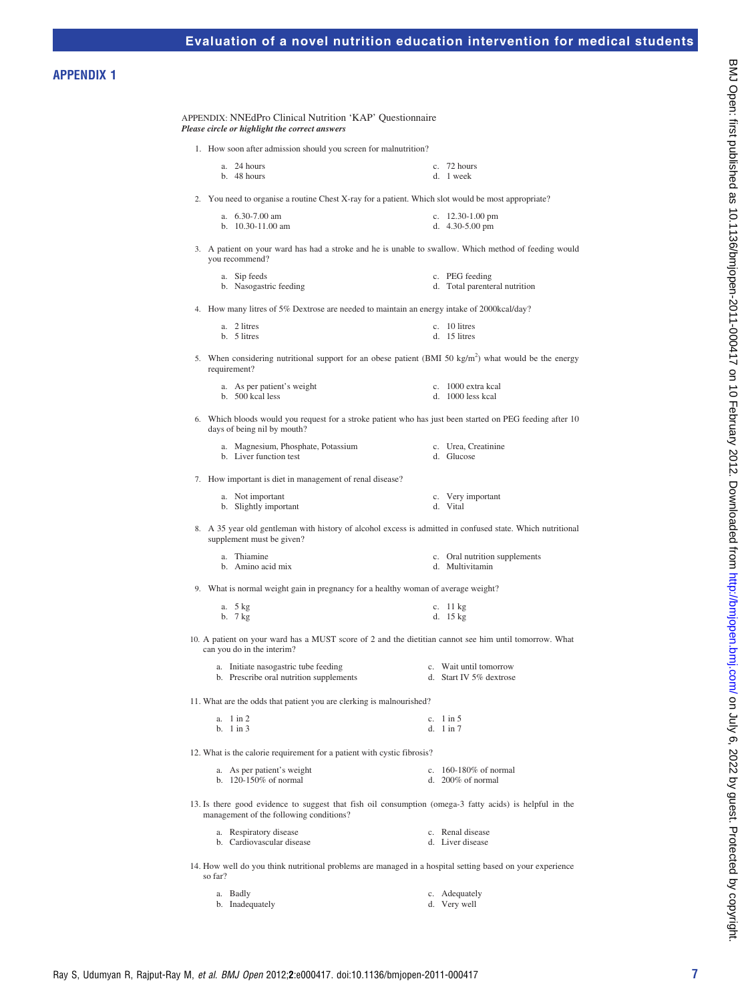# APPENDIX 1

APPENDIX: NNEdPro Clinical Nutrition 'KAP' Questionnaire *Please circle or highlight the correct answers*  1. How soon after admission should you screen for malnutrition? a. 24 hours b. 48 hours c. 72 hours d. 1 week 2. You need to organise a routine Chest X-ray for a patient. Which slot would be most appropriate? a. 6.30-7.00 am b. 10.30-11.00 am c. 12.30-1.00 pm d. 4.30-5.00 pm 3. A patient on your ward has had a stroke and he is unable to swallow. Which method of feeding would you recommend? a. Sip feeds b. Nasogastric feeding c. PEG feeding d. Total parenteral nutrition 4. How many litres of 5% Dextrose are needed to maintain an energy intake of 2000kcal/day? a. 2 litres b. 5 litres c. 10 litres d. 15 litres 5. When considering nutritional support for an obese patient  $(BMI 50 kg/m<sup>2</sup>)$  what would be the energy requirement? a. As per patient's weight b. 500 kcal less c. 1000 extra kcal d. 1000 less kcal 6. Which bloods would you request for a stroke patient who has just been started on PEG feeding after 10 days of being nil by mouth? a. Magnesium, Phosphate, Potassium b. Liver function test c. Urea, Creatinine d. Glucose 7. How important is diet in management of renal disease? a. Not important b. Slightly important c. Very important d. Vital 8. A 35 year old gentleman with history of alcohol excess is admitted in confused state. Which nutritional supplement must be given? a. Thiamine b. Amino acid mix c. Oral nutrition supplements d. Multivitamin 9. What is normal weight gain in pregnancy for a healthy woman of average weight? a. 5 kg b. 7 kg c. 11 kg d. 15 kg 10. A patient on your ward has a MUST score of 2 and the dietitian cannot see him until tomorrow. What can you do in the interim? a. Initiate nasogastric tube feeding b. Prescribe oral nutrition supplements c. Wait until tomorrow d. Start IV 5% dextrose 11. What are the odds that patient you are clerking is malnourished? a. 1 in 2 b. 1 in 3 c. 1 in 5 d. 1 in 7 12. What is the calorie requirement for a patient with cystic fibrosis? a. As per patient's weight b. 120-150% of normal c. 160-180% of normal d. 200% of normal 13. Is there good evidence to suggest that fish oil consumption (omega-3 fatty acids) is helpful in the management of the following conditions? a. Respiratory disease b. Cardiovascular disease c. Renal disease d. Liver disease 14. How well do you think nutritional problems are managed in a hospital setting based on your experience so far? a. Badly c. Adequately